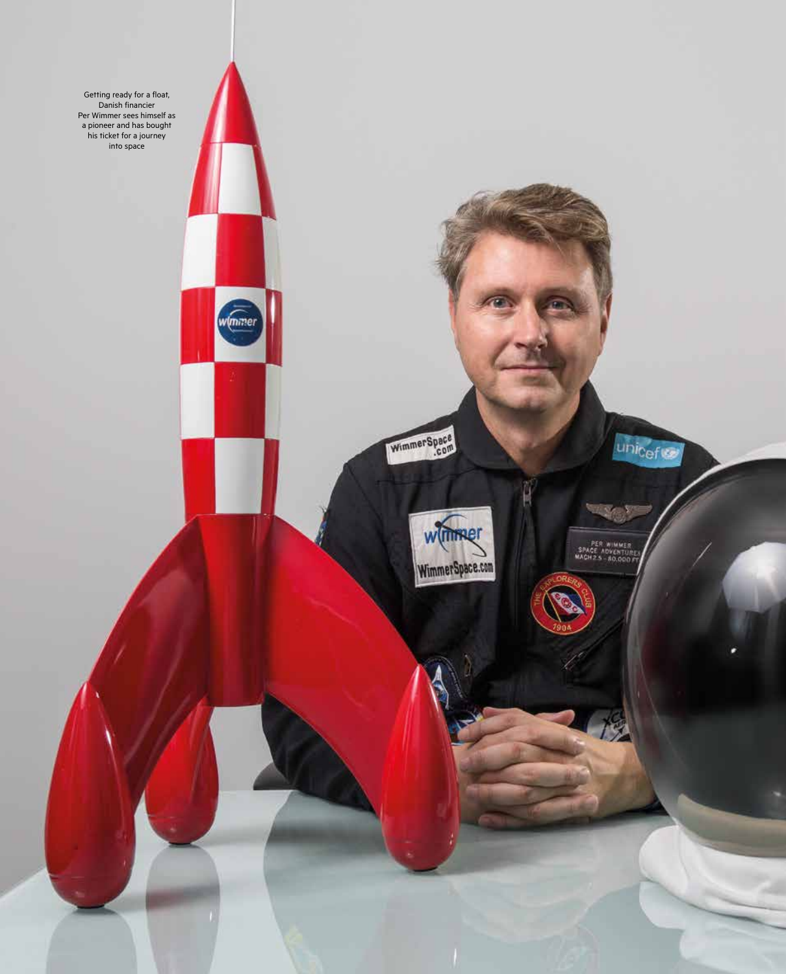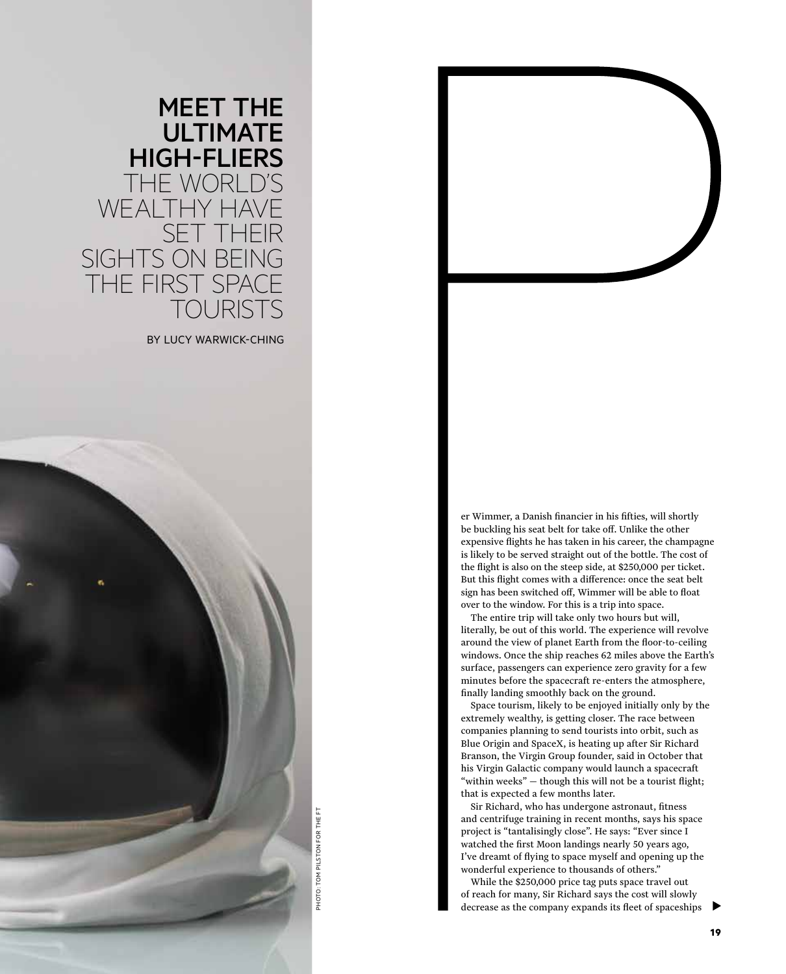

er Wimmer, a Danish financier in his fifties, will shortly be buckling his seat belt for take off. Unlike the other expensive flights he has taken in his career, the champagne is likely to be served straight out of the bottle. The cost of the flight is also on the steep side, at \$250,000 per ticket. But this flight comes with a difference: once the seat belt sign has been switched off, Wimmer will be able to float over to the window. For this is a trip into space.

The entire trip will take only two hours but will, literally, be out of this world. The experience will revolve around the view of planet Earth from the floor-to-ceiling windows. Once the ship reaches 62 miles above the Earth's surface, passengers can experience zero gravity for a few minutes before the spacecraft re-enters the atmosphere, finally landing smoothly back on the ground.

Space tourism, likely to be enjoyed initially only by the extremely wealthy, is getting closer. The race between companies planning to send tourists into orbit, such as Blue Origin and SpaceX, is heating up after Sir Richard Branson, the Virgin Group founder, said in October that his Virgin Galactic company would launch a spacecraft "within weeks" — though this will not be a tourist flight; that is expected a few months later.

Sir Richard, who has undergone astronaut, fitness and centrifuge training in recent months, says his space project is "tantalisingly close". He says: "Ever since I watched the first Moon landings nearly 50 years ago, I've dreamt of flying to space myself and opening up the wonderful experience to thousands of others."

While the \$250,000 price tag puts space travel out of reach for many, Sir Richard says the cost will slowly decrease as the company expands its fleet of spaceships

## MEET THE **ULTIMATE** HIGH-FLIERS THE WORLD'S WEALTHY HAVE SET THEIR SIGHTS ON BEING THE FIRST SPACE **OURISTS**

BY LUCY WARWICK-CHING



PHOTO: TOM PILSTON FOR THE FT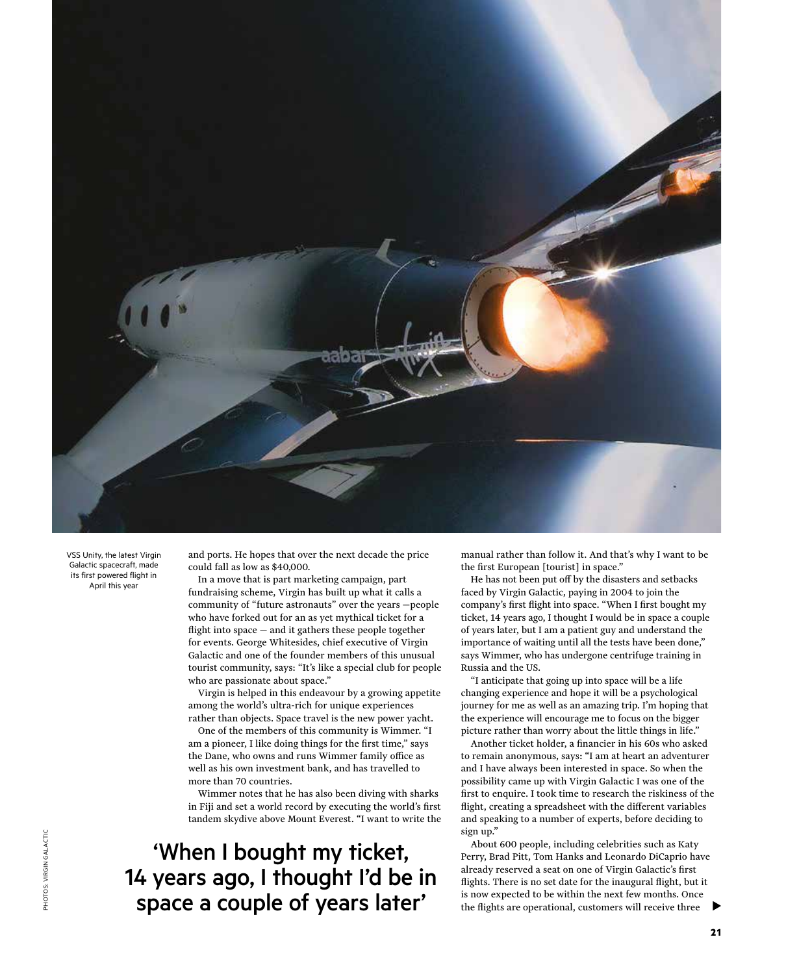

VSS Unity, the latest Virgin Galactic spacecraft, made its first powered flight in April this year

and ports. He hopes that over the next decade the price could fall as low as \$40,000.

In a move that is part marketing campaign, part fundraising scheme, Virgin has built up what it calls a community of "future astronauts" over the years —people who have forked out for an as yet mythical ticket for a flight into space  $-$  and it gathers these people together for events. George Whitesides, chief executive of Virgin Galactic and one of the founder members of this unusual tourist community, says: "It's like a special club for people who are passionate about space."

Virgin is helped in this endeavour by a growing appetite among the world's ultra-rich for unique experiences rather than objects. Space travel is the new power yacht.

One of the members of this community is Wimmer. "I am a pioneer, I like doing things for the first time," says the Dane, who owns and runs Wimmer family office as well as his own investment bank, and has travelled to more than 70 countries.

Wimmer notes that he has also been diving with sharks in Fiji and set a world record by executing the world's first tandem skydive above Mount Everest. "I want to write the

'When I bought my ticket, 14 years ago, I thought I'd be in space a couple of years later'

manual rather than follow it. And that's why I want to be the first European [tourist] in space."

He has not been put off by the disasters and setbacks faced by Virgin Galactic, paying in 2004 to join the company's first flight into space. "When I first bought my ticket, 14 years ago, I thought I would be in space a couple of years later, but I am a patient guy and understand the importance of waiting until all the tests have been done," says Wimmer, who has undergone centrifuge training in Russia and the US.

"I anticipate that going up into space will be a life changing experience and hope it will be a psychological journey for me as well as an amazing trip. I'm hoping that the experience will encourage me to focus on the bigger picture rather than worry about the little things in life."

Another ticket holder, a financier in his 60s who asked to remain anonymous, says: "I am at heart an adventurer and I have always been interested in space. So when the possibility came up with Virgin Galactic I was one of the first to enquire. I took time to research the riskiness of the flight, creating a spreadsheet with the different variables and speaking to a number of experts, before deciding to sign up."

About 600 people, including celebrities such as Katy Perry, Brad Pitt, Tom Hanks and Leonardo DiCaprio have already reserved a seat on one of Virgin Galactic's first flights. There is no set date for the inaugural flight, but it is now expected to be within the next few months. Once the flights are operational, customers will receive three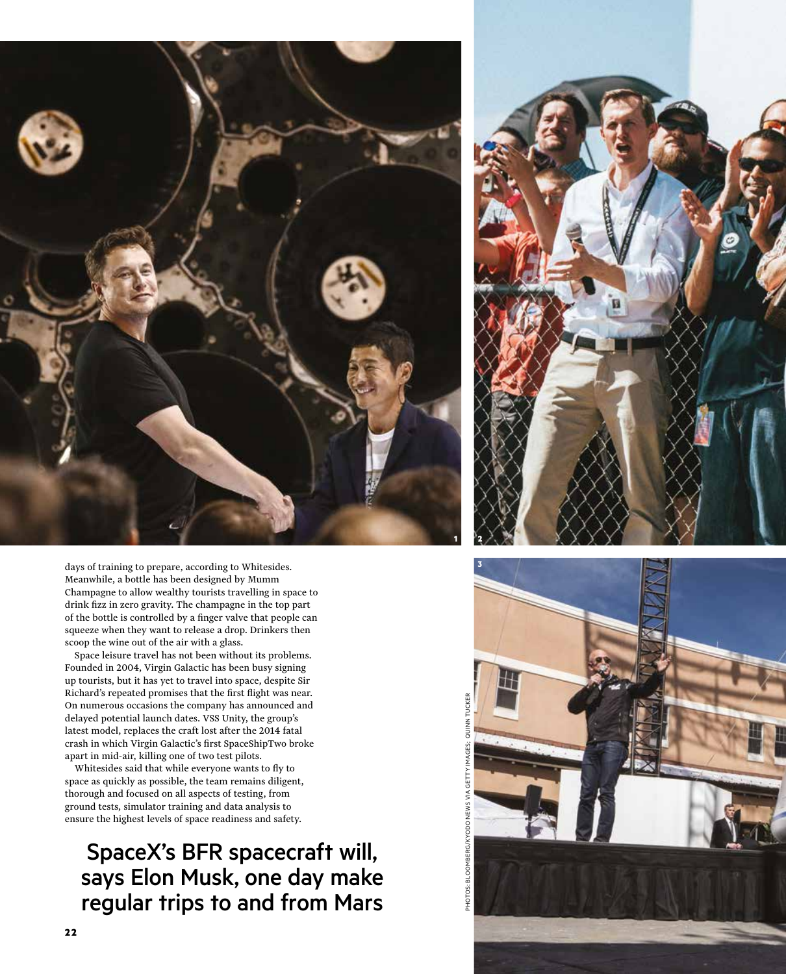

days of training to prepare, according to Whitesides. Meanwhile, a bottle has been designed by Mumm Champagne to allow wealthy tourists travelling in space to drink fizz in zero gravity. The champagne in the top part of the bottle is controlled by a finger valve that people can squeeze when they want to release a drop. Drinkers then scoop the wine out of the air with a glass.

Space leisure travel has not been without its problems. Founded in 2004, Virgin Galactic has been busy signing up tourists, but it has yet to travel into space, despite Sir Richard's repeated promises that the first flight was near. On numerous occasions the company has announced and delayed potential launch dates. VSS Unity, the group's latest model, replaces the craft lost after the 2014 fatal crash in which Virgin Galactic's first SpaceShipTwo broke apart in mid-air, killing one of two test pilots.

Whitesides said that while everyone wants to fly to space as quickly as possible, the team remains diligent, thorough and focused on all aspects of testing, from ground tests, simulator training and data analysis to ensure the highest levels of space readiness and safety.

SpaceX's BFR spacecraft will, says Elon Musk, one day make regular trips to and from Mars



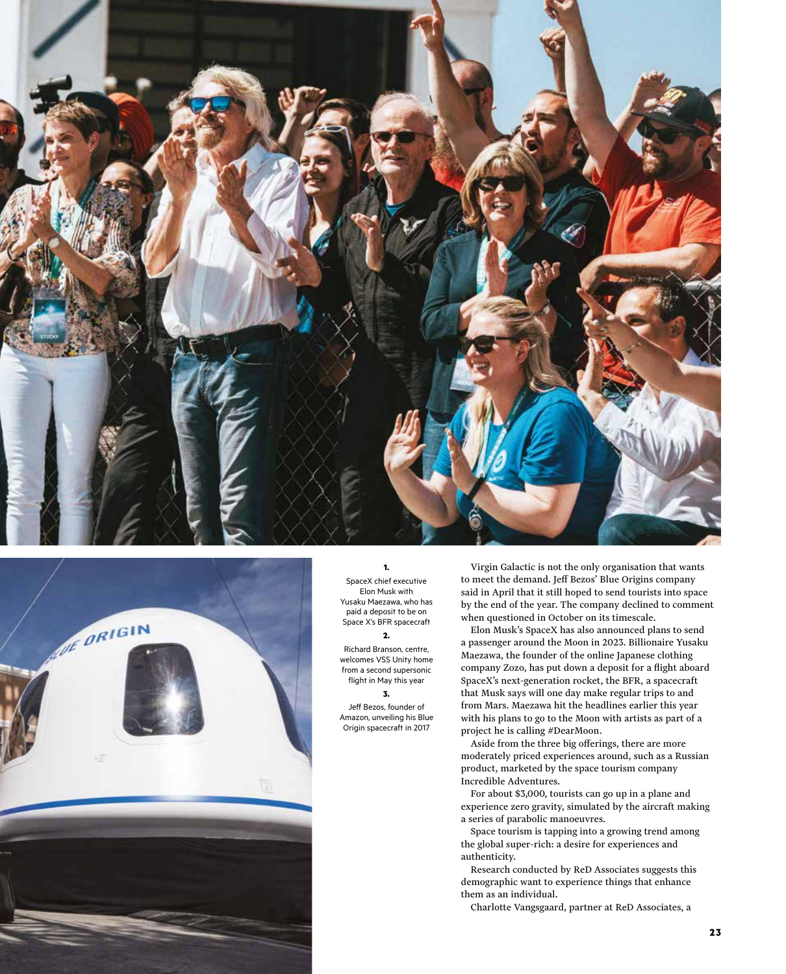



## **1.** SpaceX chief executive Elon Musk with Yusaku Maezawa, who has paid a deposit to be on Space X's BFR spacecraft

**2.** Richard Branson, centre,

welcomes VSS Unity home from a second supersonic flight in May this year **3.**

Jeff Bezos, founder of Amazon, unveiling his Blue Origin spacecraft in 2017

Virgin Galactic is not the only organisation that wants to meet the demand. Jeff Bezos' Blue Origins company said in April that it still hoped to send tourists into space by the end of the year. The company declined to comment when questioned in October on its timescale.

Elon Musk's SpaceX has also announced plans to send a passenger around the Moon in 2023. Billionaire Yusaku Maezawa, the founder of the online Japanese clothing company Zozo, has put down a deposit for a flight aboard SpaceX's next-generation rocket, the BFR, a spacecraft that Musk says will one day make regular trips to and from Mars. Maezawa hit the headlines earlier this year with his plans to go to the Moon with artists as part of a project he is calling #DearMoon.

Aside from the three big offerings, there are more moderately priced experiences around, such as a Russian product, marketed by the space tourism company Incredible Adventures.

For about \$3,000, tourists can go up in a plane and experience zero gravity, simulated by the aircraft making a series of parabolic manoeuvres.

Space tourism is tapping into a growing trend among the global super-rich: a desire for experiences and authenticity.

Research conducted by ReD Associates suggests this demographic want to experience things that enhance them as an individual.

Charlotte Vangsgaard, partner at ReD Associates, a